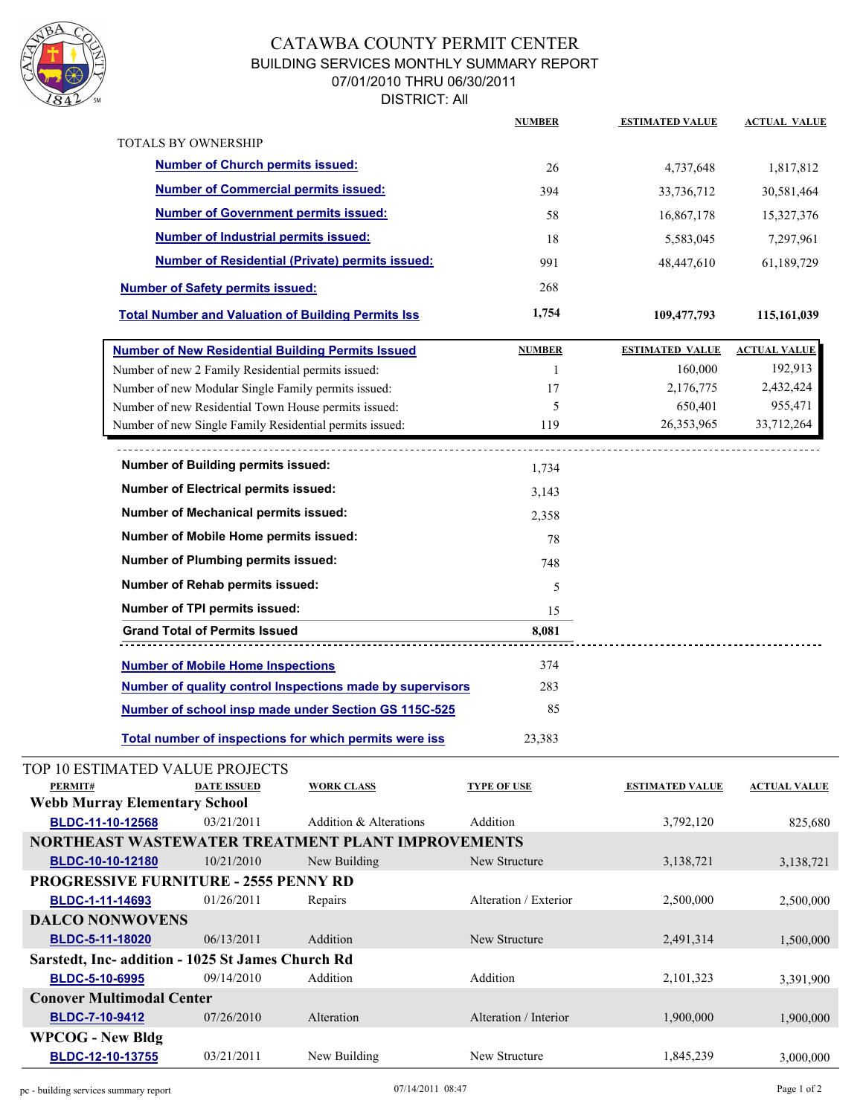

## CATAWBA COUNTY PERMIT CENTER BUILDING SERVICES MONTHLY SUMMARY REPORT 07/01/2010 THRU 06/30/2011 DISTRICT: All

|                                                        |                                                                                                                                                               |                        | <b>NUMBER</b>         | <b>ESTIMATED VALUE</b> | <b>ACTUAL VALUE</b> |
|--------------------------------------------------------|---------------------------------------------------------------------------------------------------------------------------------------------------------------|------------------------|-----------------------|------------------------|---------------------|
|                                                        | <b>TOTALS BY OWNERSHIP</b>                                                                                                                                    |                        |                       |                        |                     |
|                                                        | <b>Number of Church permits issued:</b>                                                                                                                       |                        | 26                    | 4,737,648              | 1,817,812           |
| <b>Number of Commercial permits issued:</b>            |                                                                                                                                                               |                        | 394                   | 33,736,712             | 30,581,464          |
|                                                        | <b>Number of Government permits issued:</b>                                                                                                                   |                        | 58                    | 16,867,178             | 15,327,376          |
|                                                        | <b>Number of Industrial permits issued:</b>                                                                                                                   |                        | 18                    | 5,583,045              | 7,297,961           |
|                                                        |                                                                                                                                                               |                        | 991                   |                        |                     |
| <b>Number of Residential (Private) permits issued:</b> |                                                                                                                                                               |                        |                       | 48,447,610             | 61,189,729          |
|                                                        | <b>Number of Safety permits issued:</b>                                                                                                                       |                        | 268                   |                        |                     |
|                                                        | <b>Total Number and Valuation of Building Permits Iss</b>                                                                                                     |                        | 1,754                 | 109,477,793            | 115,161,039         |
|                                                        | <b>Number of New Residential Building Permits Issued</b>                                                                                                      |                        | <b>NUMBER</b>         | <u>ESTIMATED VALUE</u> | <b>ACTUAL VALUE</b> |
|                                                        | Number of new 2 Family Residential permits issued:                                                                                                            |                        | $\mathbf{1}$          | 160,000                | 192,913             |
|                                                        | Number of new Modular Single Family permits issued:                                                                                                           |                        | 17                    | 2,176,775              | 2,432,424           |
|                                                        | Number of new Residential Town House permits issued:                                                                                                          |                        | 5                     | 650,401                | 955,471             |
|                                                        | Number of new Single Family Residential permits issued:                                                                                                       |                        | 119                   | 26, 353, 965           | 33,712,264          |
|                                                        |                                                                                                                                                               |                        |                       |                        |                     |
|                                                        | Number of Building permits issued:                                                                                                                            |                        | 1,734                 |                        |                     |
|                                                        | <b>Number of Electrical permits issued:</b>                                                                                                                   |                        | 3,143<br>2,358        |                        |                     |
|                                                        | Number of Mechanical permits issued:<br>Number of Mobile Home permits issued:<br><b>Number of Plumbing permits issued:</b><br>Number of Rehab permits issued: |                        |                       |                        |                     |
|                                                        |                                                                                                                                                               |                        |                       |                        |                     |
|                                                        |                                                                                                                                                               |                        |                       |                        |                     |
|                                                        |                                                                                                                                                               |                        |                       |                        |                     |
|                                                        | Number of TPI permits issued:                                                                                                                                 |                        | 15                    |                        |                     |
|                                                        | <b>Grand Total of Permits Issued</b>                                                                                                                          |                        | 8,081                 |                        |                     |
|                                                        | <b>Number of Mobile Home Inspections</b>                                                                                                                      |                        | 374                   |                        |                     |
|                                                        | Number of quality control Inspections made by supervisors                                                                                                     |                        |                       |                        |                     |
|                                                        | Number of school insp made under Section GS 115C-525                                                                                                          |                        | 85                    |                        |                     |
|                                                        | Total number of inspections for which permits were iss                                                                                                        |                        | 23,383                |                        |                     |
|                                                        | TOP 10 ESTIMATED VALUE PROJECTS                                                                                                                               |                        |                       |                        |                     |
| PERMIT#                                                | <b>DATE ISSUED</b>                                                                                                                                            | <b>WORK CLASS</b>      | <b>TYPE OF USE</b>    | <b>ESTIMATED VALUE</b> | <b>ACTUAL VALUE</b> |
| <b>Webb Murray Elementary School</b>                   |                                                                                                                                                               |                        |                       |                        |                     |
| BLDC-11-10-12568                                       | 03/21/2011                                                                                                                                                    | Addition & Alterations | Addition              | 3,792,120              | 825,680             |
|                                                        | NORTHEAST WASTEWATER TREATMENT PLANT IMPROVEMENTS                                                                                                             |                        |                       |                        |                     |
| BLDC-10-10-12180                                       | 10/21/2010<br><b>PROGRESSIVE FURNITURE - 2555 PENNY RD</b>                                                                                                    | New Building           | New Structure         | 3,138,721              | 3,138,721           |
| BLDC-1-11-14693                                        | 01/26/2011                                                                                                                                                    | Repairs                | Alteration / Exterior | 2,500,000              | 2,500,000           |
| <b>DALCO NONWOVENS</b>                                 |                                                                                                                                                               |                        |                       |                        |                     |
| BLDC-5-11-18020                                        | 06/13/2011                                                                                                                                                    | Addition               | New Structure         | 2,491,314              | 1,500,000           |
|                                                        | Sarstedt, Inc- addition - 1025 St James Church Rd                                                                                                             |                        |                       |                        |                     |
| BLDC-5-10-6995                                         | 09/14/2010                                                                                                                                                    | Addition               | Addition              | 2,101,323              | 3,391,900           |
| <b>Conover Multimodal Center</b>                       |                                                                                                                                                               |                        |                       |                        |                     |
| BLDC-7-10-9412                                         | 07/26/2010                                                                                                                                                    | Alteration             | Alteration / Interior | 1,900,000              | 1,900,000           |
| <b>WPCOG - New Bldg</b>                                |                                                                                                                                                               |                        |                       |                        |                     |
| BLDC-12-10-13755                                       | 03/21/2011                                                                                                                                                    | New Building           | New Structure         | 1,845,239              | 3,000,000           |